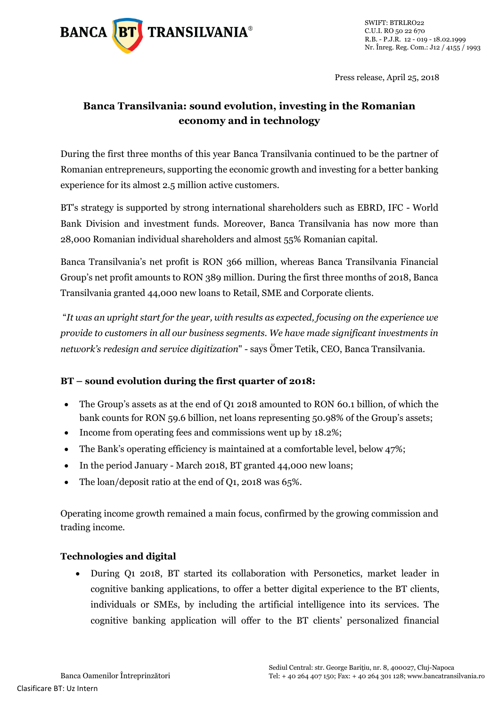

Press release, April 25, 2018

# **Banca Transilvania: sound evolution, investing in the Romanian economy and in technology**

During the first three months of this year Banca Transilvania continued to be the partner of Romanian entrepreneurs, supporting the economic growth and investing for a better banking experience for its almost 2.5 million active customers.

BT's strategy is supported by strong international shareholders such as EBRD, IFC - World Bank Division and investment funds. Moreover, Banca Transilvania has now more than 28,000 Romanian individual shareholders and almost 55% Romanian capital.

Banca Transilvania's net profit is RON 366 million, whereas Banca Transilvania Financial Group's net profit amounts to RON 389 million. During the first three months of 2018, Banca Transilvania granted 44,000 new loans to Retail, SME and Corporate clients.

"*It was an upright start for the year, with results as expected, focusing on the experience we provide to customers in all our business segments. We have made significant investments in network's redesign and service digitization*" - says Ömer Tetik, CEO, Banca Transilvania.

## **BT – sound evolution during the first quarter of 2018:**

- The Group's assets as at the end of Q1 2018 amounted to RON 60.1 billion, of which the bank counts for RON 59.6 billion, net loans representing 50.98% of the Group's assets;
- Income from operating fees and commissions went up by 18.2%;
- The Bank's operating efficiency is maintained at a comfortable level, below 47%;
- In the period January March 2018, BT granted 44,000 new loans;
- The loan/deposit ratio at the end of Q1, 2018 was 65%.

Operating income growth remained a main focus, confirmed by the growing commission and trading income.

#### **Technologies and digital**

 During Q1 2018, BT started its collaboration with Personetics, market leader in cognitive banking applications, to offer a better digital experience to the BT clients, individuals or SMEs, by including the artificial intelligence into its services. The cognitive banking application will offer to the BT clients' personalized financial